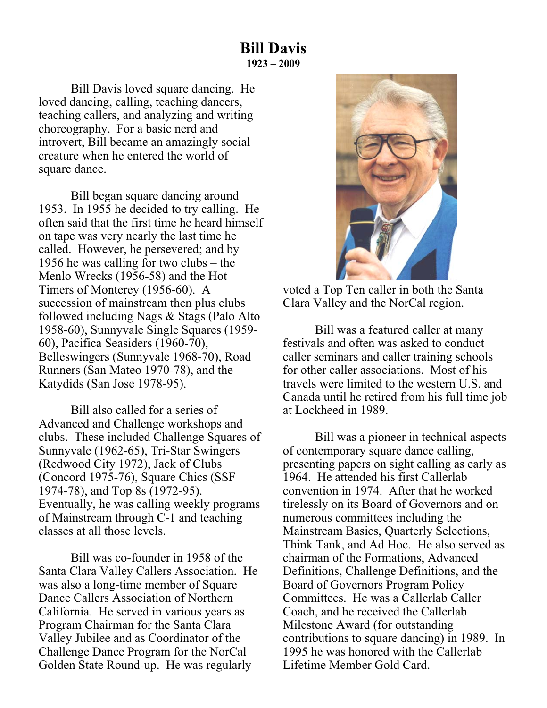Bill Davis loved square dancing. He loved dancing, calling, teaching dancers, teaching callers, and analyzing and writing choreography. For a basic nerd and introvert, Bill became an amazingly social creature when he entered the world of square dance.

 Bill began square dancing around 1953. In 1955 he decided to try calling. He often said that the first time he heard himself on tape was very nearly the last time he called. However, he persevered; and by 1956 he was calling for two clubs – the Menlo Wrecks (1956-58) and the Hot Timers of Monterey (1956-60). A succession of mainstream then plus clubs followed including Nags & Stags (Palo Alto 1958-60), Sunnyvale Single Squares (1959- 60), Pacifica Seasiders (1960-70), Belleswingers (Sunnyvale 1968-70), Road Runners (San Mateo 1970-78), and the Katydids (San Jose 1978-95).

 Bill also called for a series of Advanced and Challenge workshops and clubs. These included Challenge Squares of Sunnyvale (1962-65), Tri-Star Swingers (Redwood City 1972), Jack of Clubs (Concord 1975-76), Square Chics (SSF 1974-78), and Top 8s (1972-95). Eventually, he was calling weekly programs of Mainstream through C-1 and teaching classes at all those levels.

 Bill was co-founder in 1958 of the Santa Clara Valley Callers Association. He was also a long-time member of Square Dance Callers Association of Northern California. He served in various years as Program Chairman for the Santa Clara Valley Jubilee and as Coordinator of the Challenge Dance Program for the NorCal Golden State Round-up. He was regularly



voted a Top Ten caller in both the Santa Clara Valley and the NorCal region.

 Bill was a featured caller at many festivals and often was asked to conduct caller seminars and caller training schools for other caller associations. Most of his travels were limited to the western U.S. and Canada until he retired from his full time job at Lockheed in 1989.

 Bill was a pioneer in technical aspects of contemporary square dance calling, presenting papers on sight calling as early as 1964. He attended his first Callerlab convention in 1974. After that he worked tirelessly on its Board of Governors and on numerous committees including the Mainstream Basics, Quarterly Selections, Think Tank, and Ad Hoc. He also served as chairman of the Formations, Advanced Definitions, Challenge Definitions, and the Board of Governors Program Policy Committees. He was a Callerlab Caller Coach, and he received the Callerlab Milestone Award (for outstanding contributions to square dancing) in 1989. In 1995 he was honored with the Callerlab Lifetime Member Gold Card.